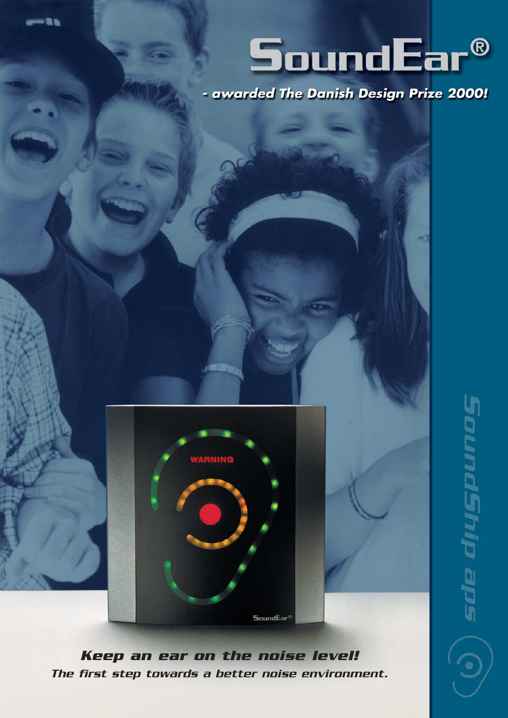# **SoundEar®**

- awarded The Danish Design Prize 2000!



*Keep an ear on the noise level! The first step towards a better noise environment.*